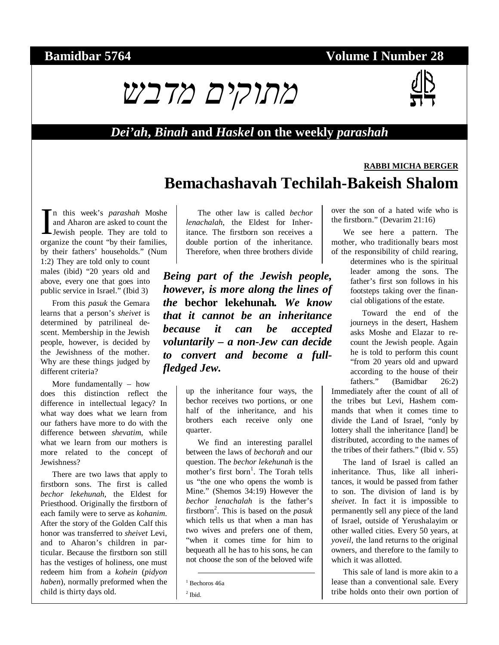## **Bamidbar 5764 Volume I Number 28**





#### *Dei'ah***,** *Binah* **and** *Haskel* **on the weekly** *parashah*

# **RABBI MICHA BERGER Bemachashavah Techilah-Bakeish Shalom**

n this week's *parashah* Moshe and Aharon are asked to count the Jewish people. They are told to In this week's *parashah* Moshe<br>and Aharon are asked to count the<br>Jewish people. They are told to<br>organize the count "by their families, by their fathers' households." (Num 1:2) They are told only to count males (ibid) "20 years old and above, every one that goes into public service in Israel." (Ibid 3)

From this *pasuk* the Gemara learns that a person's *sheivet* is determined by patrilineal descent. Membership in the Jewish people, however, is decided by the Jewishness of the mother. Why are these things judged by different criteria?

More fundamentally – how does this distinction reflect the difference in intellectual legacy? In what way does what we learn from our fathers have more to do with the difference between *shevatim*, while what we learn from our mothers is more related to the concept of Jewishness?

There are two laws that apply to firstborn sons. The first is called *bechor lekehunah*, the Eldest for Priesthood. Originally the firstborn of each family were to serve as *kohanim*. After the story of the Golden Calf this honor was transferred to *sheivet* Levi, and to Aharon's children in particular. Because the firstborn son still has the vestiges of holiness, one must redeem him from a *kohein* (*pidyon haben*), normally preformed when the child is thirty days old.

The other law is called *bechor lenachalah*, the Eldest for Inheritance. The firstborn son receives a double portion of the inheritance. Therefore, when three brothers divide

*Being part of the Jewish people, however, is more along the lines of the* **bechor lekehunah***. We know that it cannot be an inheritance because it can be accepted voluntarily – a non-Jew can decide to convert and become a fullfledged Jew.* 

> up the inheritance four ways, the bechor receives two portions, or one half of the inheritance, and his brothers each receive only one quarter.

We find an interesting parallel between the laws of *bechorah* and our question. The *bechor lekehunah* is the mother's first born<sup>1</sup>. The Torah tells us "the one who opens the womb is Mine." (Shemos 34:19) However the *bechor lenachalah* is the father's firstborn<sup>2</sup>. This is based on the *pasuk* which tells us that when a man has two wives and prefers one of them, "when it comes time for him to bequeath all he has to his sons, he can not choose the son of the beloved wife

1 Bechoros 46a

 $<sup>2</sup>$  Ibid.</sup>

over the son of a hated wife who is the firstborn." (Devarim 21:16)

We see here a pattern. The mother, who traditionally bears most of the responsibility of child rearing,

> determines who is the spiritual leader among the sons. The father's first son follows in his footsteps taking over the financial obligations of the estate.

> Toward the end of the journeys in the desert, Hashem asks Moshe and Elazar to recount the Jewish people. Again he is told to perform this count "from 20 years old and upward according to the house of their fathers." (Bamidbar 26:2)

Immediately after the count of all of the tribes but Levi, Hashem commands that when it comes time to divide the Land of Israel, "only by lottery shall the inheritance [land] be distributed, according to the names of the tribes of their fathers." (Ibid v. 55)

The land of Israel is called an inheritance. Thus, like all inheritances, it would be passed from father to son. The division of land is by *sheivet*. In fact it is impossible to permanently sell any piece of the land of Israel, outside of Yerushalayim or other walled cities. Every 50 years, at *yoveil*, the land returns to the original owners, and therefore to the family to which it was allotted.

This sale of land is more akin to a lease than a conventional sale. Every tribe holds onto their own portion of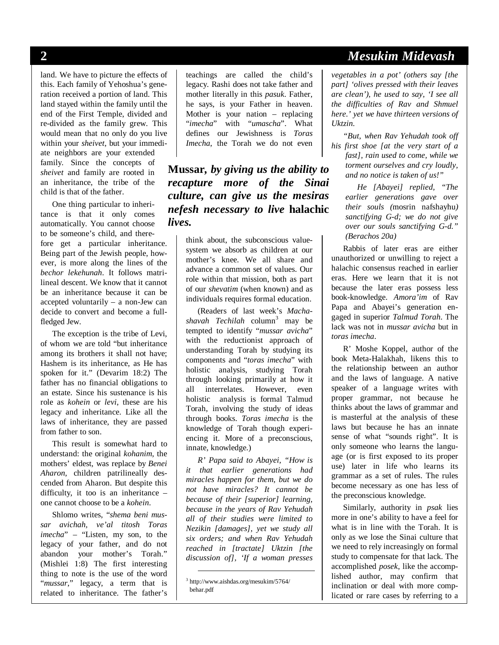land. We have to picture the effects of this. Each family of Yehoshua's generation received a portion of land. This land stayed within the family until the end of the First Temple, divided and re-divided as the family grew. This would mean that no only do you live within your *sheivet*, but your immediate neighbors are your extended family. Since the concepts of *sheivet* and family are rooted in an inheritance, the tribe of the child is that of the father.

One thing particular to inheritance is that it only comes automatically. You cannot choose to be someone's child, and therefore get a particular inheritance. Being part of the Jewish people, however, is more along the lines of the *bechor lekehunah*. It follows matrilineal descent. We know that it cannot be an inheritance because it can be accepted voluntarily – a non-Jew can decide to convert and become a fullfledged Jew.

The exception is the tribe of Levi, of whom we are told "but inheritance among its brothers it shall not have; Hashem is its inheritance, as He has spoken for it." (Devarim 18:2) The father has no financial obligations to an estate. Since his sustenance is his role as *kohein* or *levi*, these are his legacy and inheritance. Like all the laws of inheritance, they are passed from father to son.

This result is somewhat hard to understand: the original *kohanim*, the mothers' eldest, was replace by *Benei Aharon*, children patrilineally descended from Aharon. But despite this difficulty, it too is an inheritance – one cannot choose to be a *kohein*.

Shlomo writes, "*shema beni mussar avichah, ve'al titosh Toras imecha*" – "Listen, my son, to the legacy of your father, and do not abandon your mother's Torah." (Mishlei 1:8) The first interesting thing to note is the use of the word "*mussar*," legacy, a term that is related to inheritance. The father's

teachings are called the child's legacy. Rashi does not take father and mother literally in this *pasuk*. Father, he says, is your Father in heaven. Mother is your nation – replacing "*imecha*" with "*umascha*". What defines our Jewishness is *Toras Imecha*, the Torah we do not even

**Mussar***, by giving us the ability to recapture more of the Sinai culture, can give us the mesiras nefesh necessary to live* **halachic**  *lives.* 

> think about, the subconscious valuesystem we absorb as children at our mother's knee. We all share and advance a common set of values. Our role within that mission, both as part of our *shevatim* (when known) and as individuals requires formal education.

(Readers of last week's *Machashavah Techilah* column<sup>3</sup> may be tempted to identify "*mussar avicha*" with the reductionist approach of understanding Torah by studying its components and "*toras imecha*" with holistic analysis, studying Torah through looking primarily at how it all interrelates. However, even holistic analysis is formal Talmud Torah, involving the study of ideas through books. *Toras imecha* is the knowledge of Torah though experiencing it. More of a preconscious, innate, knowledge.)

*R' Papa said to Abayei, "How is it that earlier generations had miracles happen for them, but we do not have miracles? It cannot be because of their [superior] learning, because in the years of Rav Yehudah all of their studies were limited to Nezikin [damages], yet we study all six orders; and when Rav Yehudah reached in [tractate] Uktzin [the discussion of], 'If a woman presses* 

### **2** *Mesukim Midevash*

*vegetables in a pot' (others say [the part] 'olives pressed with their leaves are clean'), he used to say, 'I see all the difficulties of Rav and Shmuel here.' yet we have thirteen versions of Uktzin.* 

*"But, when Rav Yehudah took off his first shoe [at the very start of a fast], rain used to come, while we torment ourselves and cry loudly, and no notice is taken of us!"* 

> *He [Abayei] replied, "The earlier generations gave over their souls (*mosrin nafshayhu*) sanctifying G-d; we do not give over our souls sanctifying G-d." (Berachos 20a)*

Rabbis of later eras are either unauthorized or unwilling to reject a halachic consensus reached in earlier eras. Here we learn that it is not because the later eras possess less book-knowledge. *Amora'im* of Rav Papa and Abayei's generation engaged in superior *Talmud Torah*. The lack was not in *mussar avicha* but in *toras imecha*.

R' Moshe Koppel, author of the book Meta-Halakhah, likens this to the relationship between an author and the laws of language. A native speaker of a language writes with proper grammar, not because he thinks about the laws of grammar and is masterful at the analysis of these laws but because he has an innate sense of what "sounds right". It is only someone who learns the language (or is first exposed to its proper use) later in life who learns its grammar as a set of rules. The rules become necessary as one has less of the preconscious knowledge.

Similarly, authority in *psak* lies more in one's ability to have a feel for what is in line with the Torah. It is only as we lose the Sinai culture that we need to rely increasingly on formal study to compensate for that lack. The accomplished *posek*, like the accomplished author, may confirm that inclination or deal with more complicated or rare cases by referring to a

 <sup>3</sup> http://www.aishdas.org/mesukim/5764/ behar.pdf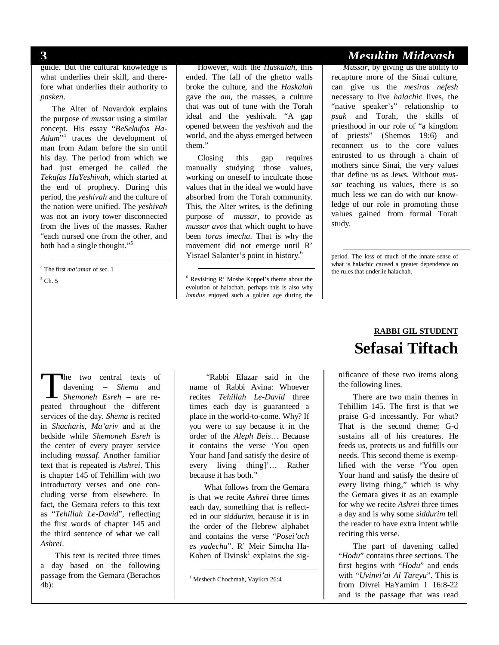guide. But the cultural knowledge is what underlies their skill, and therefore what underlies their authority to *pasken*.

The Alter of Novardok explains the purpose of *mussar* using a similar concept. His essay "*BeSekufos Ha-Adam*" 4 traces the development of man from Adam before the sin until his day. The period from which we had just emerged he called the *Tekufas HaYeshivah*, which started at the end of prophecy. During this period, the *yeshivah* and the culture of the nation were unified. The *yeshivah* was not an ivory tower disconnected from the lives of the masses. Rather "each nursed one from the other, and both had a single thought."<sup>5</sup>

 4 The first *ma'amar* of sec. 1  $5$  Ch. 5

However, with the *Haskalah*, this ended. The fall of the ghetto walls broke the culture, and the *Haskalah* gave the *am*, the masses, a culture that was out of tune with the Torah ideal and the yeshivah. "A gap opened between the *yeshivah* and the world, and the abyss emerged between them."

Closing this gap requires manually studying those values, working on oneself to inculcate those values that in the ideal we would have absorbed from the Torah community. This, the Alter writes, is the defining purpose of *mussar*, to provide as *mussar avos* that which ought to have been *toras imecha*. That is why the movement did not emerge until R' Yisrael Salanter's point in history.<sup>6</sup>

 6 Revisiting R' Moshe Koppel's theme about the evolution of halachah, perhaps this is also why *lomdus* enjoyed such a golden age during the

## **3** *Mesukim Midevash*

*Mussar*, by giving us the ability to recapture more of the Sinai culture, can give us the *mesiras nefesh* necessary to live *halachic* lives, the "native speaker's" relationship to *psak* and Torah, the skills of priesthood in our role of "a kingdom of priests" (Shemos 19:6) and reconnect us to the core values entrusted to us through a chain of mothers since Sinai, the very values that define us as Jews. Without *mussar* teaching us values, there is so much less we can do with our knowledge of our role in promoting those values gained from formal Torah study.

 period. The loss of much of the innate sense of what is halachic caused a greater dependence on the rules that underlie halachah.

he two central texts of davening – *Shema* and *Shemoneh Esreh* – are re-The two central texts of<br>davening – *Shema* and<br>*Shemoneh Esreh* – are re-<br>peated throughout the different services of the day. *Shema* is recited in *Shacharis*, *Ma'ariv* and at the bedside while *Shemoneh Esreh* is the center of every prayer service including *mussaf*. Another familiar text that is repeated is *Ashrei*. This is chapter 145 of Tehillim with two introductory verses and one concluding verse from elsewhere. In fact, the Gemara refers to this text as "*Tehillah Le-David*", reflecting the first words of chapter 145 and the third sentence of what we call *Ashrei*.

This text is recited three times a day based on the following passage from the Gemara (Berachos 4b):

 "Rabbi Elazar said in the name of Rabbi Avina: Whoever recites *Tehillah Le-David* three times each day is guaranteed a place in the world-to-come. Why? If you were to say because it in the order of the *Aleph Beis*… Because it contains the verse 'You open Your hand [and satisfy the desire of every living thing]'… Rather because it has both."

What follows from the Gemara is that we recite *Ashrei* three times each day, something that is reflected in our *siddurim*, because it is in the order of the Hebrew alphabet and contains the verse "*Posei'ach es yadecha*". R' Meir Simcha Ha-Kohen of Dvinsk<sup>1</sup> explains the sig-

# **RABBI GIL STUDENT Sefasai Tiftach**

nificance of these two items along the following lines.

There are two main themes in Tehillim 145. The first is that we praise G-d incessantly. For what? That is the second theme; G-d sustains all of his creatures. He feeds us, protects us and fulfills our needs. This second theme is exemplified with the verse "You open Your hand and satisfy the desire of every living thing," which is why the Gemara gives it as an example for why we recite *Ashrei* three times a day and is why some *siddurim* tell the reader to have extra intent while reciting this verse.

The part of davening called "*Hodu*" contains three sections. The first begins with "*Hodu*" and ends with "*Uvinvi'ai Al Tareyu*". This is from Divrei HaYamim 1 16:8-22 and is the passage that was read

 <sup>1</sup> Meshech Chochmah, Vayikra 26:4